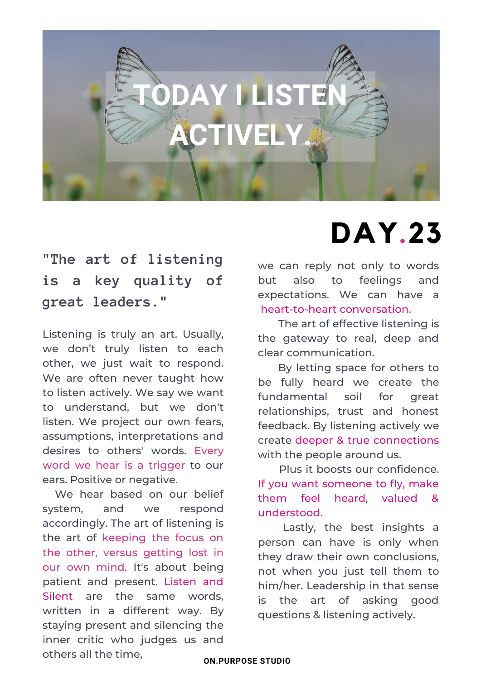

## **"The art of listening is a key quality of great leaders."**

Listening is truly an art. Usually, we don't truly listen to each other, we just wait to respond. We are often never taught how to listen actively. We say we want to understand, but we don't listen. We project our own fears, assumptions, interpretations and desires to others' words. Every word we hear is a trigger to our ears. Positive or negative.

We hear based on our belief system, and we respond accordingly. The art of listening is the art of keeping the focus on the other, versus getting lost in our own mind. It's about being patient and present. Listen and Silent are the same words, written in a different way. By staying present and silencing the inner critic who judges us and others all the time,

we can reply not only to words but also to feelings and expectations. We can have a heart-to-heart conversation.

**DAY.23**

The art of effective listening is the gateway to real, deep and clear communication.

By letting space for others to be fully heard we create the fundamental soil for great relationships, trust and honest feedback. By listening actively we create deeper & true connections with the people around us.

Plus it boosts our confidence. If you want someone to fly, make them feel heard, valued & understood.

Lastly, the best insights a person can have is only when they draw their own conclusions, not when you just tell them to him/her. Leadership in that sense is the art of asking good questions & listening actively.